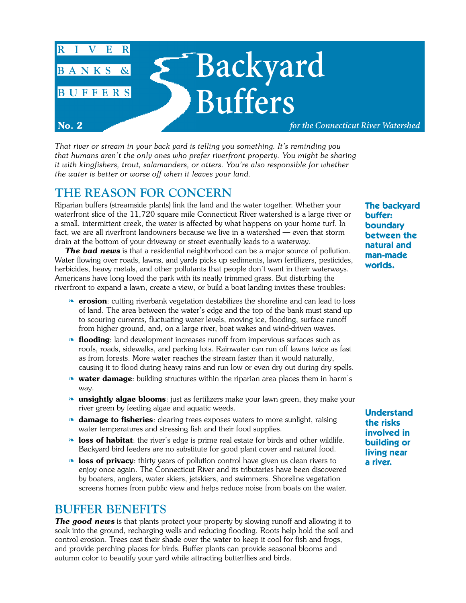

*That river or stream in your back yard is telling you something. It's reminding you that humans aren't the only ones who prefer riverfront property. You might be sharing it with kingfishers, trout, salamanders, or otters. You're also responsible for whether the water is better or worse off when it leaves your land.*

# **THE REASON FOR CONCERN**

Riparian buffers (streamside plants) link the land and the water together. Whether your waterfront slice of the 11,720 square mile Connecticut River watershed is a large river or a small, intermittent creek, the water is affected by what happens on your home turf. In fact, we are all riverfront landowners because we live in a watershed — even that storm drain at the bottom of your driveway or street eventually leads to a waterway.

**The bad news** is that a residential neighborhood can be a major source of pollution. Water flowing over roads, lawns, and yards picks up sediments, lawn fertilizers, pesticides, herbicides, heavy metals, and other pollutants that people don't want in their waterways. Americans have long loved the park with its neatly trimmed grass. But disturbing the riverfront to expand a lawn, create a view, or build a boat landing invites these troubles:

- ❧ **erosion**: cutting riverbank vegetation destabilizes the shoreline and can lead to loss of land. The area between the water's edge and the top of the bank must stand up to scouring currents, fluctuating water levels, moving ice, flooding, surface runoff from higher ground, and, on a large river, boat wakes and wind-driven waves.
- ❧ **flooding**: land development increases runoff from impervious surfaces such as roofs, roads, sidewalks, and parking lots. Rainwater can run off lawns twice as fast as from forests. More water reaches the stream faster than it would naturally, causing it to flood during heavy rains and run low or even dry out during dry spells.
- ❧ **water damage**: building structures within the riparian area places them in harm's way.
- ❧ **unsightly algae blooms**: just as fertilizers make your lawn green, they make your river green by feeding algae and aquatic weeds.
- ❧ **damage to fisheries**: clearing trees exposes waters to more sunlight, raising water temperatures and stressing fish and their food supplies.
- ❧ **loss of habitat**: the river's edge is prime real estate for birds and other wildlife. Backyard bird feeders are no substitute for good plant cover and natural food.
- **b** loss of privacy: thirty years of pollution control have given us clean rivers to enjoy once again. The Connecticut River and its tributaries have been discovered by boaters, anglers, water skiers, jetskiers, and swimmers. Shoreline vegetation screens homes from public view and helps reduce noise from boats on the water.

## **BUFFER BENEFITS**

**The good news** is that plants protect your property by slowing runoff and allowing it to soak into the ground, recharging wells and reducing flooding. Roots help hold the soil and control erosion. Trees cast their shade over the water to keep it cool for fish and frogs, and provide perching places for birds. Buffer plants can provide seasonal blooms and autumn color to beautify your yard while attracting butterflies and birds.

**The backyard buffer: boundary between the natural and man-made worlds.**

**Understand the risks involved in building or living near a river.**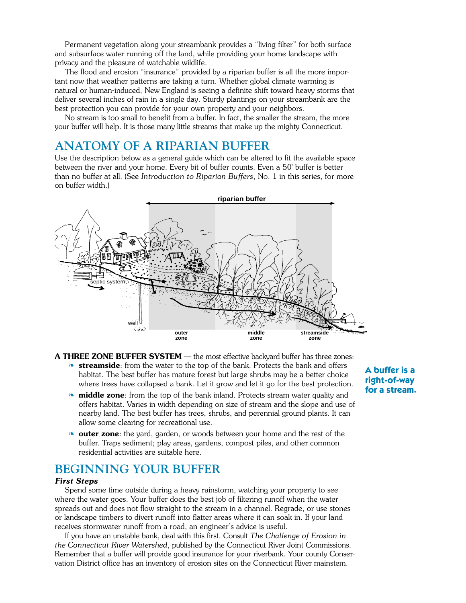Permanent vegetation along your streambank provides a "living filter" for both surface and subsurface water running off the land, while providing your home landscape with privacy and the pleasure of watchable wildlife.

The flood and erosion "insurance" provided by a riparian buffer is all the more important now that weather patterns are taking a turn. Whether global climate warming is natural or human-induced, New England is seeing a definite shift toward heavy storms that deliver several inches of rain in a single day. Sturdy plantings on your streambank are the best protection you can provide for your own property and your neighbors.

No stream is too small to benefit from a buffer. In fact, the smaller the stream, the more your buffer will help. It is those many little streams that make up the mighty Connecticut.

### **ANATOMY OF A RIPARIAN BUFFER**

Use the description below as a general guide which can be altered to fit the available space between the river and your home. Every bit of buffer counts. Even a 50' buffer is better than no buffer at all. (See *Introduction to Riparian Buffers*, No. 1 in this series, for more on buffer width.)



- **A THREE ZONE BUFFER SYSTEM** the most effective backyard buffer has three zones: ❧ **streamside**: from the water to the top of the bank. Protects the bank and offers habitat. The best buffer has mature forest but large shrubs may be a better choice where trees have collapsed a bank. Let it grow and let it go for the best protection.
	- **• middle zone**: from the top of the bank inland. Protects stream water quality and offers habitat. Varies in width depending on size of stream and the slope and use of nearby land. The best buffer has trees, shrubs, and perennial ground plants. It can allow some clearing for recreational use.
	- ❧ **outer zone**: the yard, garden, or woods between your home and the rest of the buffer. Traps sediment; play areas, gardens, compost piles, and other common residential activities are suitable here.

### **BEGINNING YOUR BUFFER**

#### *First Steps*

Spend some time outside during a heavy rainstorm, watching your property to see where the water goes. Your buffer does the best job of filtering runoff when the water spreads out and does not flow straight to the stream in a channel. Regrade, or use stones or landscape timbers to divert runoff into flatter areas where it can soak in. If your land receives stormwater runoff from a road, an engineer's advice is useful.

If you have an unstable bank, deal with this first. Consult *The Challenge of Erosion in the Connecticut River Watershed*, published by the Connecticut River Joint Commissions. Remember that a buffer will provide good insurance for your riverbank. Your county Conservation District office has an inventory of erosion sites on the Connecticut River mainstem.

#### **A buffer is a right-of-way for a stream.**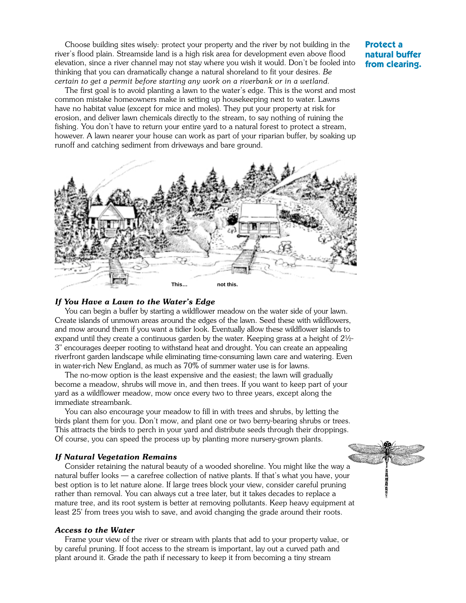Choose building sites wisely: protect your property and the river by not building in the river's flood plain. Streamside land is a high risk area for development even above flood elevation, since a river channel may not stay where you wish it would. Don't be fooled into thinking that you can dramatically change a natural shoreland to fit your desires. *Be certain to get a permit before starting any work on a riverbank or in a wetland.*

The first goal is to avoid planting a lawn to the water's edge. This is the worst and most common mistake homeowners make in setting up housekeeping next to water. Lawns have no habitat value (except for mice and moles). They put your property at risk for erosion, and deliver lawn chemicals directly to the stream, to say nothing of ruining the fishing. You don't have to return your entire yard to a natural forest to protect a stream, however. A lawn nearer your house can work as part of your riparian buffer, by soaking up runoff and catching sediment from driveways and bare ground.



#### *If You Have a Lawn to the Water's Edge*

You can begin a buffer by starting a wildflower meadow on the water side of your lawn. Create islands of unmown areas around the edges of the lawn. Seed these with wildflowers, and mow around them if you want a tidier look. Eventually allow these wildflower islands to expand until they create a continuous garden by the water. Keeping grass at a height of  $2\frac{1}{2}$ -3" encourages deeper rooting to withstand heat and drought. You can create an appealing riverfront garden landscape while eliminating time-consuming lawn care and watering. Even in water-rich New England, as much as 70% of summer water use is for lawns.

The no-mow option is the least expensive and the easiest; the lawn will gradually become a meadow, shrubs will move in, and then trees. If you want to keep part of your yard as a wildflower meadow, mow once every two to three years, except along the immediate streambank.

You can also encourage your meadow to fill in with trees and shrubs, by letting the birds plant them for you. Don't mow, and plant one or two berry-bearing shrubs or trees. This attracts the birds to perch in your yard and distribute seeds through their droppings. Of course, you can speed the process up by planting more nursery-grown plants.

#### *If Natural Vegetation Remains*

Consider retaining the natural beauty of a wooded shoreline. You might like the way a natural buffer looks — a carefree collection of native plants. If that's what you have, your best option is to let nature alone. If large trees block your view, consider careful pruning rather than removal. You can always cut a tree later, but it takes decades to replace a mature tree, and its root system is better at removing pollutants. Keep heavy equipment at least 25' from trees you wish to save, and avoid changing the grade around their roots.

#### *Access to the Water*

Frame your view of the river or stream with plants that add to your property value, or by careful pruning. If foot access to the stream is important, lay out a curved path and plant around it. Grade the path if necessary to keep it from becoming a tiny stream

#### **Protect a natural buffer from clearing.**

2000年10月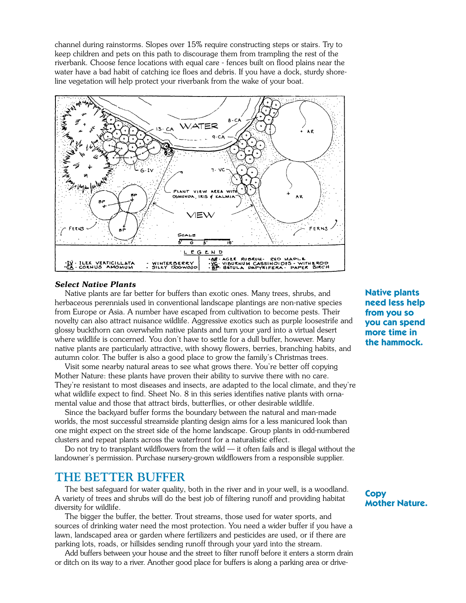channel during rainstorms. Slopes over 15% require constructing steps or stairs. Try to keep children and pets on this path to discourage them from trampling the rest of the riverbank. Choose fence locations with equal care - fences built on flood plains near the water have a bad habit of catching ice floes and debris. If you have a dock, sturdy shoreline vegetation will help protect your riverbank from the wake of your boat.



#### *Select Native Plants*

Native plants are far better for buffers than exotic ones. Many trees, shrubs, and herbaceous perennials used in conventional landscape plantings are non-native species from Europe or Asia. A number have escaped from cultivation to become pests. Their novelty can also attract nuisance wildlife. Aggressive exotics such as purple loosestrife and glossy buckthorn can overwhelm native plants and turn your yard into a virtual desert where wildlife is concerned. You don't have to settle for a dull buffer, however. Many native plants are particularly attractive, with showy flowers, berries, branching habits, and autumn color. The buffer is also a good place to grow the family's Christmas trees.

Visit some nearby natural areas to see what grows there. You're better off copying Mother Nature: these plants have proven their ability to survive there with no care. They're resistant to most diseases and insects, are adapted to the local climate, and they're what wildlife expect to find. Sheet No. 8 in this series identifies native plants with ornamental value and those that attract birds, butterflies, or other desirable wildlife.

Since the backyard buffer forms the boundary between the natural and man-made worlds, the most successful streamside planting design aims for a less manicured look than one might expect on the street side of the home landscape. Group plants in odd-numbered clusters and repeat plants across the waterfront for a naturalistic effect.

Do not try to transplant wildflowers from the wild  $-$  it often fails and is illegal without the landowner's permission. Purchase nursery-grown wildflowers from a responsible supplier.

### **THE BETTER BUFFER**

The best safeguard for water quality, both in the river and in your well, is a woodland. A variety of trees and shrubs will do the best job of filtering runoff and providing habitat diversity for wildlife.

The bigger the buffer, the better. Trout streams, those used for water sports, and sources of drinking water need the most protection. You need a wider buffer if you have a lawn, landscaped area or garden where fertilizers and pesticides are used, or if there are parking lots, roads, or hillsides sending runoff through your yard into the stream.

Add buffers between your house and the street to filter runoff before it enters a storm drain or ditch on its way to a river. Another good place for buffers is along a parking area or drive**Native plants need less help from you so you can spend more time in the hammock.**

**Copy Mother Nature.**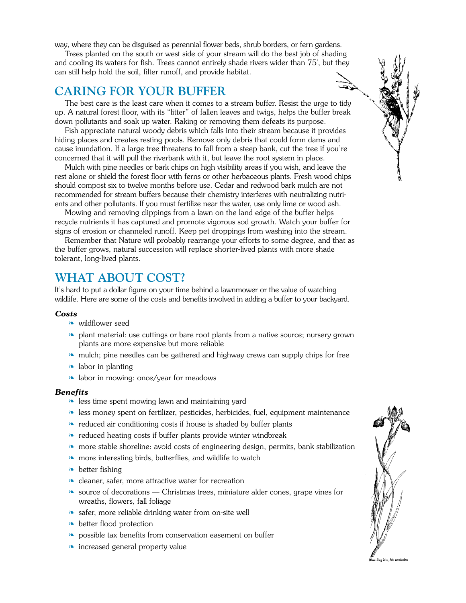way, where they can be disguised as perennial flower beds, shrub borders, or fern gardens.

Trees planted on the south or west side of your stream will do the best job of shading and cooling its waters for fish. Trees cannot entirely shade rivers wider than 75', but they can still help hold the soil, filter runoff, and provide habitat.

### **CARING FOR YOUR BUFFER**

The best care is the least care when it comes to a stream buffer. Resist the urge to tidy up. A natural forest floor, with its "litter" of fallen leaves and twigs, helps the buffer break down pollutants and soak up water. Raking or removing them defeats its purpose.

Fish appreciate natural woody debris which falls into their stream because it provides hiding places and creates resting pools. Remove only debris that could form dams and cause inundation. If a large tree threatens to fall from a steep bank, cut the tree if you're concerned that it will pull the riverbank with it, but leave the root system in place.

Mulch with pine needles or bark chips on high visibility areas if you wish, and leave the rest alone or shield the forest floor with ferns or other herbaceous plants. Fresh wood chips should compost six to twelve months before use. Cedar and redwood bark mulch are not recommended for stream buffers because their chemistry interferes with neutralizing nutrients and other pollutants. If you must fertilize near the water, use only lime or wood ash.

Mowing and removing clippings from a lawn on the land edge of the buffer helps recycle nutrients it has captured and promote vigorous sod growth. Watch your buffer for signs of erosion or channeled runoff. Keep pet droppings from washing into the stream.

Remember that Nature will probably rearrange your efforts to some degree, and that as the buffer grows, natural succession will replace shorter-lived plants with more shade tolerant, long-lived plants.

### **WHAT ABOUT COST?**

It's hard to put a dollar figure on your time behind a lawnmower or the value of watching wildlife. Here are some of the costs and benefits involved in adding a buffer to your backyard.

#### *Costs*

- ❧ wildflower seed
- ❧ plant material: use cuttings or bare root plants from a native source; nursery grown plants are more expensive but more reliable
- ❧ mulch; pine needles can be gathered and highway crews can supply chips for free
- ❧ labor in planting
- ❧ labor in mowing: once/year for meadows

#### *Benefits*

- ❧ less time spent mowing lawn and maintaining yard
- ❧ less money spent on fertilizer, pesticides, herbicides, fuel, equipment maintenance
- ❧ reduced air conditioning costs if house is shaded by buffer plants
- ❧ reduced heating costs if buffer plants provide winter windbreak
- ❧ more stable shoreline: avoid costs of engineering design, permits, bank stabilization
- ❧ more interesting birds, butterflies, and wildlife to watch
- ❧ better fishing
- ❧ cleaner, safer, more attractive water for recreation
- ❧ source of decorations Christmas trees, miniature alder cones, grape vines for wreaths, flowers, fall foliage
- ❧ safer, more reliable drinking water from on-site well
- ❧ better flood protection
- ❧ possible tax benefits from conservation easement on buffer
- ❧ increased general property value